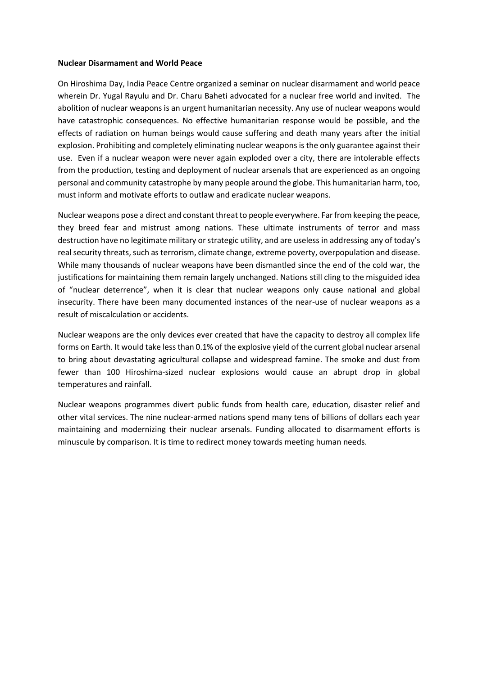## **Nuclear Disarmament and World Peace**

On Hiroshima Day, India Peace Centre organized a seminar on nuclear disarmament and world peace wherein Dr. Yugal Rayulu and Dr. Charu Baheti advocated for a nuclear free world and invited. The abolition of nuclear weapons is an urgent humanitarian necessity. Any use of nuclear weapons would have catastrophic consequences. No effective humanitarian response would be possible, and the effects of radiation on human beings would cause suffering and death many years after the initial explosion. Prohibiting and completely eliminating nuclear weapons is the only guarantee against their use. Even if a nuclear weapon were never again exploded over a city, there are intolerable effects from the production, testing and deployment of nuclear arsenals that are experienced as an ongoing personal and community catastrophe by many people around the globe. This humanitarian harm, too, must inform and motivate efforts to outlaw and eradicate nuclear weapons.

Nuclear weapons pose a direct and constant threat to people everywhere. Far from keeping the peace, they breed fear and mistrust among nations. These ultimate instruments of terror and mass destruction have no legitimate military or strategic utility, and are useless in addressing any of today's real security threats, such as terrorism, climate change, extreme poverty, overpopulation and disease. While many thousands of nuclear weapons have been dismantled since the end of the cold war, the justifications for maintaining them remain largely unchanged. Nations still cling to the misguided idea of "nuclear deterrence", when it is clear that nuclear weapons only cause national and global insecurity. There have been many documented instances of the near-use of nuclear weapons as a result of miscalculation or accidents.

Nuclear weapons are the only devices ever created that have the capacity to destroy all complex life forms on Earth. It would take less than 0.1% of the explosive yield of the current global nuclear arsenal to bring about devastating agricultural collapse and widespread famine. The smoke and dust from fewer than 100 Hiroshima-sized nuclear explosions would cause an abrupt drop in global temperatures and rainfall.

Nuclear weapons programmes divert public funds from health care, education, disaster relief and other vital services. The nine nuclear-armed nations spend many tens of billions of dollars each year maintaining and modernizing their nuclear arsenals. Funding allocated to disarmament efforts is minuscule by comparison. It is time to redirect money towards meeting human needs.